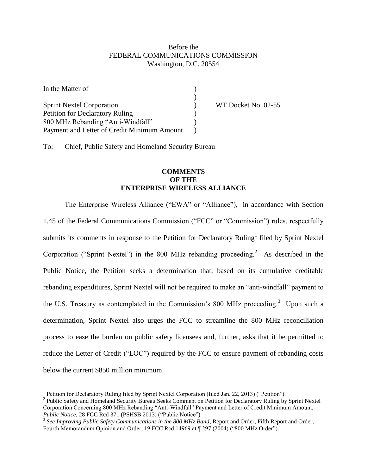## Before the FEDERAL COMMUNICATIONS COMMISSION Washington, D.C. 20554

| In the Matter of                            |  |
|---------------------------------------------|--|
|                                             |  |
| <b>Sprint Nextel Corporation</b>            |  |
| Petition for Declaratory Ruling –           |  |
| 800 MHz Rebanding "Anti-Windfall"           |  |
| Payment and Letter of Credit Minimum Amount |  |

WT Docket No. 02-55

To: Chief, Public Safety and Homeland Security Bureau

## **COMMENTS OF THE ENTERPRISE WIRELESS ALLIANCE**

The Enterprise Wireless Alliance ("EWA" or "Alliance"), in accordance with Section 1.45 of the Federal Communications Commission ("FCC" or "Commission") rules, respectfully submits its comments in response to the Petition for Declaratory Ruling<sup>1</sup> filed by Sprint Nextel Corporation ("Sprint Nextel") in the  $800$  MHz rebanding proceeding.<sup>2</sup> As described in the Public Notice, the Petition seeks a determination that, based on its cumulative creditable rebanding expenditures, Sprint Nextel will not be required to make an "anti-windfall" payment to the U.S. Treasury as contemplated in the Commission's 800 MHz proceeding.<sup>3</sup> Upon such a determination, Sprint Nextel also urges the FCC to streamline the 800 MHz reconciliation process to ease the burden on public safety licensees and, further, asks that it be permitted to reduce the Letter of Credit ("LOC") required by the FCC to ensure payment of rebanding costs below the current \$850 million minimum.

<sup>&</sup>lt;sup>1</sup> Petition for Declaratory Ruling filed by Sprint Nextel Corporation (filed Jan. 22, 2013) ("Petition").

<sup>&</sup>lt;sup>2</sup> Public Safety and Homeland Security Bureau Seeks Comment on Petition for Declaratory Ruling by Sprint Nextel Corporation Concerning 800 MHz Rebanding "Anti-Windfall" Payment and Letter of Credit Minimum Amount, *Public Notice,* 28 FCC Rcd 371 (PSHSB 2013) ("Public Notice").

<sup>3</sup> *See Improving Public Safety Communications in the 800 MHz Band*, Report and Order, Fifth Report and Order, Fourth Memorandum Opinion and Order, 19 FCC Rcd 14969 at ¶ 297 (2004) ("800 MHz Order").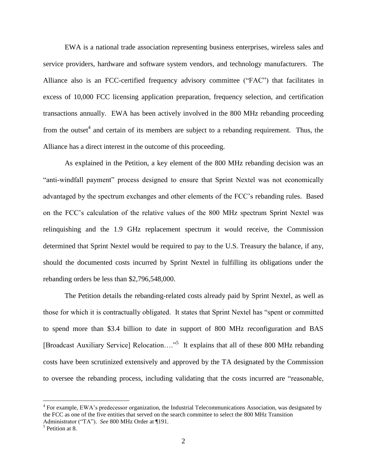EWA is a national trade association representing business enterprises, wireless sales and service providers, hardware and software system vendors, and technology manufacturers. The Alliance also is an FCC-certified frequency advisory committee ("FAC") that facilitates in excess of 10,000 FCC licensing application preparation, frequency selection, and certification transactions annually. EWA has been actively involved in the 800 MHz rebanding proceeding from the outset<sup>4</sup> and certain of its members are subject to a rebanding requirement. Thus, the Alliance has a direct interest in the outcome of this proceeding.

As explained in the Petition, a key element of the 800 MHz rebanding decision was an "anti-windfall payment" process designed to ensure that Sprint Nextel was not economically advantaged by the spectrum exchanges and other elements of the FCC's rebanding rules. Based on the FCC's calculation of the relative values of the 800 MHz spectrum Sprint Nextel was relinquishing and the 1.9 GHz replacement spectrum it would receive, the Commission determined that Sprint Nextel would be required to pay to the U.S. Treasury the balance, if any, should the documented costs incurred by Sprint Nextel in fulfilling its obligations under the rebanding orders be less than \$2,796,548,000.

The Petition details the rebanding-related costs already paid by Sprint Nextel, as well as those for which it is contractually obligated. It states that Sprint Nextel has "spent or committed to spend more than \$3.4 billion to date in support of 800 MHz reconfiguration and BAS [Broadcast Auxiliary Service] Relocation...."<sup>5</sup> It explains that all of these 800 MHz rebanding costs have been scrutinized extensively and approved by the TA designated by the Commission to oversee the rebanding process, including validating that the costs incurred are "reasonable,

<sup>&</sup>lt;sup>4</sup> For example, EWA's predecessor organization, the Industrial Telecommunications Association, was designated by the FCC as one of the five entities that served on the search committee to select the 800 MHz Transition Administrator ("TA"). *See* 800 MHz Order at ¶191.

<sup>&</sup>lt;sup>5</sup> Petition at 8.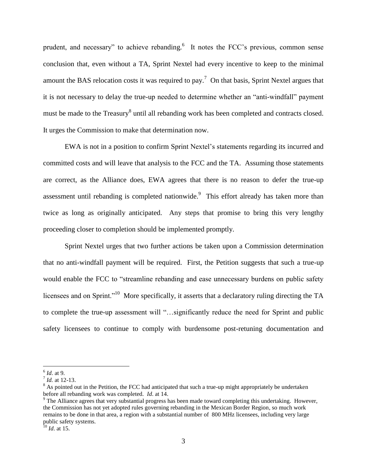prudent, and necessary" to achieve rebanding.<sup>6</sup> It notes the FCC's previous, common sense conclusion that, even without a TA, Sprint Nextel had every incentive to keep to the minimal amount the BAS relocation costs it was required to pay.<sup>7</sup> On that basis, Sprint Nextel argues that it is not necessary to delay the true-up needed to determine whether an "anti-windfall" payment must be made to the Treasury<sup>8</sup> until all rebanding work has been completed and contracts closed. It urges the Commission to make that determination now.

EWA is not in a position to confirm Sprint Nextel's statements regarding its incurred and committed costs and will leave that analysis to the FCC and the TA. Assuming those statements are correct, as the Alliance does, EWA agrees that there is no reason to defer the true-up assessment until rebanding is completed nationwide. $\degree$  This effort already has taken more than twice as long as originally anticipated. Any steps that promise to bring this very lengthy proceeding closer to completion should be implemented promptly.

Sprint Nextel urges that two further actions be taken upon a Commission determination that no anti-windfall payment will be required. First, the Petition suggests that such a true-up would enable the FCC to "streamline rebanding and ease unnecessary burdens on public safety licensees and on Sprint."<sup>10</sup> More specifically, it asserts that a declaratory ruling directing the TA to complete the true-up assessment will "…significantly reduce the need for Sprint and public safety licensees to continue to comply with burdensome post-retuning documentation and

<sup>6</sup> *Id*. at 9.

<sup>7</sup> *Id.* at 12-13.

<sup>&</sup>lt;sup>8</sup> As pointed out in the Petition, the FCC had anticipated that such a true-up might appropriately be undertaken before all rebanding work was completed. *Id*. at 14.

<sup>&</sup>lt;sup>9</sup> The Alliance agrees that very substantial progress has been made toward completing this undertaking. However, the Commission has not yet adopted rules governing rebanding in the Mexican Border Region, so much work remains to be done in that area, a region with a substantial number of 800 MHz licensees, including very large public safety systems.

<sup>10</sup> *Id*. at 15.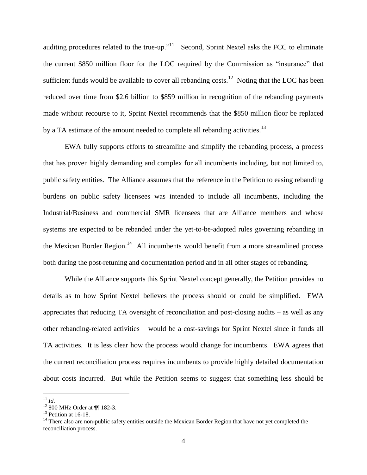auditing procedures related to the true-up."<sup>11</sup> Second, Sprint Nextel asks the FCC to eliminate the current \$850 million floor for the LOC required by the Commission as "insurance" that sufficient funds would be available to cover all rebanding costs.<sup>12</sup> Noting that the LOC has been reduced over time from \$2.6 billion to \$859 million in recognition of the rebanding payments made without recourse to it, Sprint Nextel recommends that the \$850 million floor be replaced by a TA estimate of the amount needed to complete all rebanding activities.<sup>13</sup>

EWA fully supports efforts to streamline and simplify the rebanding process, a process that has proven highly demanding and complex for all incumbents including, but not limited to, public safety entities. The Alliance assumes that the reference in the Petition to easing rebanding burdens on public safety licensees was intended to include all incumbents, including the Industrial/Business and commercial SMR licensees that are Alliance members and whose systems are expected to be rebanded under the yet-to-be-adopted rules governing rebanding in the Mexican Border Region.<sup>14</sup> All incumbents would benefit from a more streamlined process both during the post-retuning and documentation period and in all other stages of rebanding.

While the Alliance supports this Sprint Nextel concept generally, the Petition provides no details as to how Sprint Nextel believes the process should or could be simplified. EWA appreciates that reducing TA oversight of reconciliation and post-closing audits – as well as any other rebanding-related activities – would be a cost-savings for Sprint Nextel since it funds all TA activities. It is less clear how the process would change for incumbents. EWA agrees that the current reconciliation process requires incumbents to provide highly detailed documentation about costs incurred. But while the Petition seems to suggest that something less should be

<sup>11</sup> *Id*.

<sup>12</sup> 800 MHz Order at ¶¶ 182-3.

<sup>&</sup>lt;sup>13</sup> Petition at 16-18.

<sup>&</sup>lt;sup>14</sup> There also are non-public safety entities outside the Mexican Border Region that have not yet completed the reconciliation process.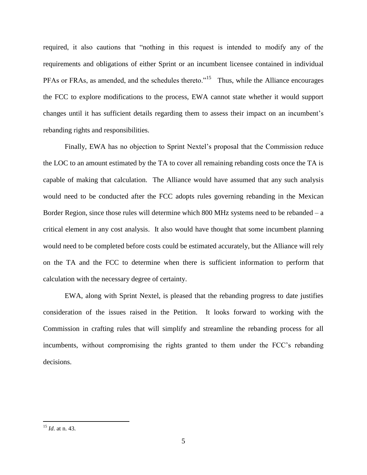required, it also cautions that "nothing in this request is intended to modify any of the requirements and obligations of either Sprint or an incumbent licensee contained in individual PFAs or FRAs, as amended, and the schedules thereto."<sup>15</sup> Thus, while the Alliance encourages the FCC to explore modifications to the process, EWA cannot state whether it would support changes until it has sufficient details regarding them to assess their impact on an incumbent's rebanding rights and responsibilities.

Finally, EWA has no objection to Sprint Nextel's proposal that the Commission reduce the LOC to an amount estimated by the TA to cover all remaining rebanding costs once the TA is capable of making that calculation. The Alliance would have assumed that any such analysis would need to be conducted after the FCC adopts rules governing rebanding in the Mexican Border Region, since those rules will determine which 800 MHz systems need to be rebanded – a critical element in any cost analysis. It also would have thought that some incumbent planning would need to be completed before costs could be estimated accurately, but the Alliance will rely on the TA and the FCC to determine when there is sufficient information to perform that calculation with the necessary degree of certainty.

EWA, along with Sprint Nextel, is pleased that the rebanding progress to date justifies consideration of the issues raised in the Petition. It looks forward to working with the Commission in crafting rules that will simplify and streamline the rebanding process for all incumbents, without compromising the rights granted to them under the FCC's rebanding decisions.

<sup>15</sup> *Id*. at n. 43.